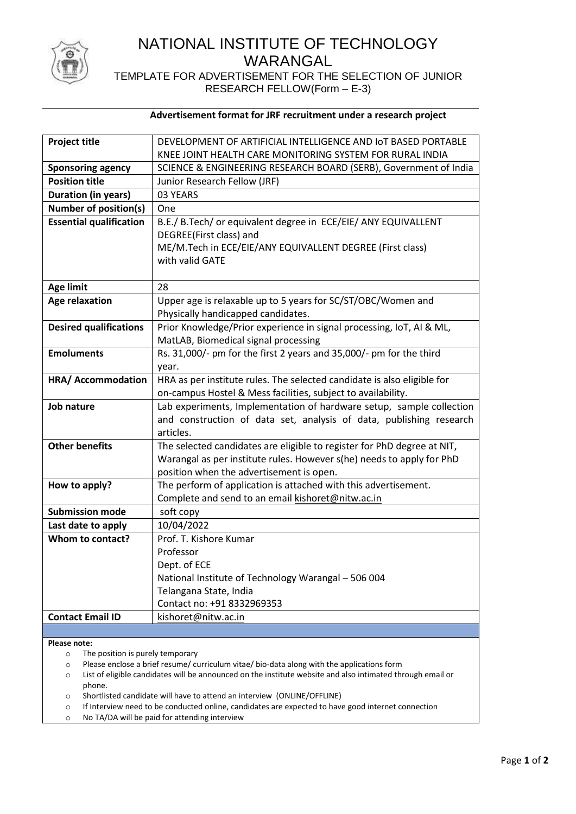

# NATIONAL INSTITUTE OF TECHNOLOGY WARANGAL

TEMPLATE FOR ADVERTISEMENT FOR THE SELECTION OF JUNIOR RESEARCH FELLOW(Form – E-3)

|  |  | Advertisement format for JRF recruitment under a research project |  |  |  |
|--|--|-------------------------------------------------------------------|--|--|--|
|--|--|-------------------------------------------------------------------|--|--|--|

| <b>Project title</b>           | DEVELOPMENT OF ARTIFICIAL INTELLIGENCE AND IOT BASED PORTABLE           |  |  |
|--------------------------------|-------------------------------------------------------------------------|--|--|
|                                | KNEE JOINT HEALTH CARE MONITORING SYSTEM FOR RURAL INDIA                |  |  |
| <b>Sponsoring agency</b>       | SCIENCE & ENGINEERING RESEARCH BOARD (SERB), Government of India        |  |  |
| <b>Position title</b>          | Junior Research Fellow (JRF)                                            |  |  |
| <b>Duration (in years)</b>     | 03 YEARS                                                                |  |  |
| <b>Number of position(s)</b>   | One                                                                     |  |  |
| <b>Essential qualification</b> | B.E./ B.Tech/ or equivalent degree in ECE/EIE/ ANY EQUIVALLENT          |  |  |
|                                | DEGREE(First class) and                                                 |  |  |
|                                | ME/M.Tech in ECE/EIE/ANY EQUIVALLENT DEGREE (First class)               |  |  |
|                                | with valid GATE                                                         |  |  |
|                                |                                                                         |  |  |
| <b>Age limit</b>               | 28                                                                      |  |  |
| <b>Age relaxation</b>          | Upper age is relaxable up to 5 years for SC/ST/OBC/Women and            |  |  |
|                                | Physically handicapped candidates.                                      |  |  |
| <b>Desired qualifications</b>  | Prior Knowledge/Prior experience in signal processing, IoT, AI & ML,    |  |  |
|                                | MatLAB, Biomedical signal processing                                    |  |  |
| <b>Emoluments</b>              | Rs. 31,000/- pm for the first 2 years and 35,000/- pm for the third     |  |  |
|                                | year.                                                                   |  |  |
| HRA/ Accommodation             | HRA as per institute rules. The selected candidate is also eligible for |  |  |
|                                | on-campus Hostel & Mess facilities, subject to availability.            |  |  |
| Job nature                     | Lab experiments, Implementation of hardware setup, sample collection    |  |  |
|                                | and construction of data set, analysis of data, publishing research     |  |  |
|                                | articles.                                                               |  |  |
| <b>Other benefits</b>          | The selected candidates are eligible to register for PhD degree at NIT, |  |  |
|                                | Warangal as per institute rules. However s(he) needs to apply for PhD   |  |  |
|                                | position when the advertisement is open.                                |  |  |
| How to apply?                  | The perform of application is attached with this advertisement.         |  |  |
| <b>Submission mode</b>         | Complete and send to an email kishoret@nitw.ac.in<br>soft copy          |  |  |
| Last date to apply             | 10/04/2022                                                              |  |  |
| Whom to contact?               | Prof. T. Kishore Kumar                                                  |  |  |
|                                | Professor                                                               |  |  |
|                                | Dept. of ECE                                                            |  |  |
|                                | National Institute of Technology Warangal - 506 004                     |  |  |
|                                | Telangana State, India                                                  |  |  |
|                                | Contact no: +91 8332969353                                              |  |  |
| <b>Contact Email ID</b>        | kishoret@nitw.ac.in                                                     |  |  |
|                                |                                                                         |  |  |

**Please note:**

o The position is purely temporary

o Please enclose a brief resume/ curriculum vitae/ bio-data along with the applications form

o List of eligible candidates will be announced on the institute website and also intimated through email or phone.

o Shortlisted candidate will have to attend an interview (ONLINE/OFFLINE)

o If Interview need to be conducted online, candidates are expected to have good internet connection

o No TA/DA will be paid for attending interview